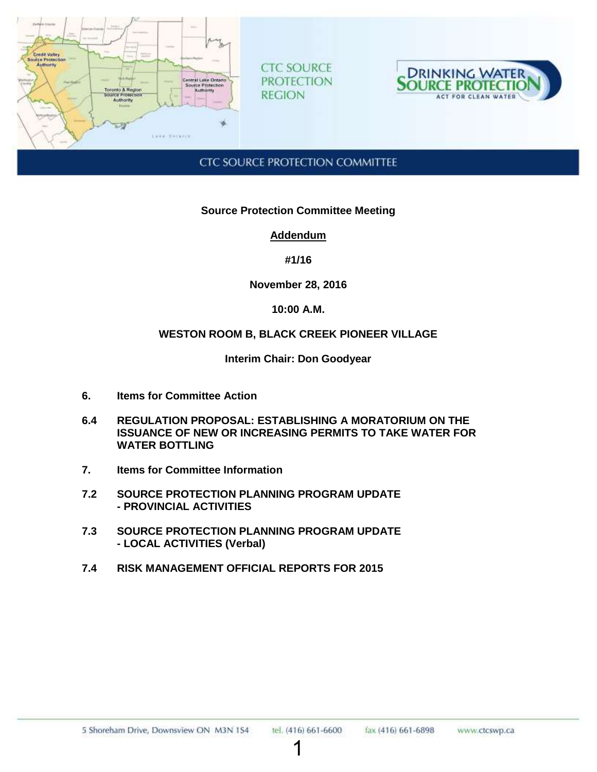

**CTC SOURCE PROTECTION REGION** 



# **CTC SOURCE PROTECTION COMMITTEE**

#### **Source Protection Committee Meeting**

# **Addendum**

# **#1/16**

#### **November 28, 2016**

# **10:00 A.M.**

# **WESTON ROOM B, BLACK CREEK PIONEER VILLAGE**

#### **Interim Chair: Don Goodyear**

- **6. Items for Committee Action**
- **6.4 REGULATION PROPOSAL: ESTABLISHING A MORATORIUM ON THE ISSUANCE OF NEW OR INCREASING PERMITS TO TAKE WATER FOR WATER BOTTLING**
- **7. Items for Committee Information**
- **7.2 SOURCE PROTECTION PLANNING PROGRAM UPDATE - PROVINCIAL ACTIVITIES**
- **7.3 SOURCE PROTECTION PLANNING PROGRAM UPDATE - LOCAL ACTIVITIES (Verbal)**
- **7.4 RISK MANAGEMENT OFFICIAL REPORTS FOR 2015**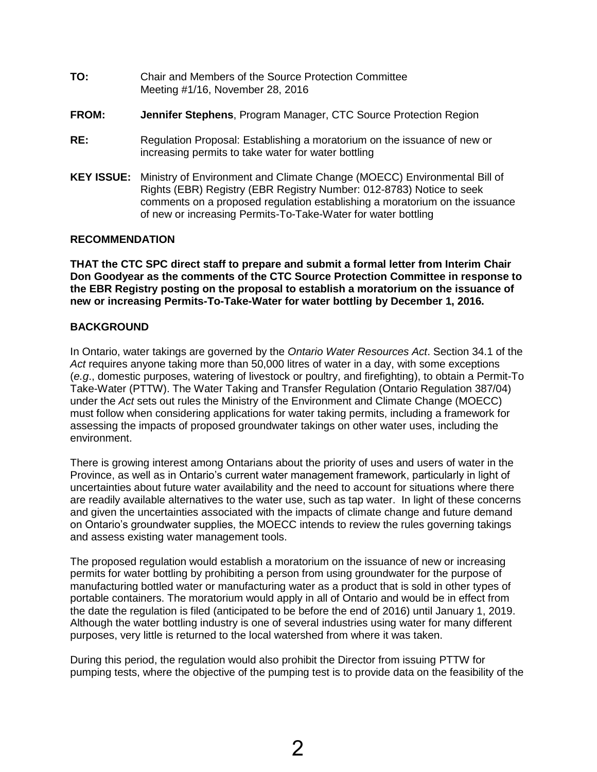- **TO:** Chair and Members of the Source Protection Committee Meeting #1/16, November 28, 2016
- **FROM: Jennifer Stephens**, Program Manager, CTC Source Protection Region
- **RE:** Regulation Proposal: Establishing a moratorium on the issuance of new or increasing permits to take water for water bottling
- **KEY ISSUE:** Ministry of Environment and Climate Change (MOECC) Environmental Bill of Rights (EBR) Registry (EBR Registry Number: 012-8783) Notice to seek comments on a proposed regulation establishing a moratorium on the issuance of new or increasing Permits-To-Take-Water for water bottling

#### **RECOMMENDATION**

**THAT the CTC SPC direct staff to prepare and submit a formal letter from Interim Chair Don Goodyear as the comments of the CTC Source Protection Committee in response to the EBR Registry posting on the proposal to establish a moratorium on the issuance of new or increasing Permits-To-Take-Water for water bottling by December 1, 2016.** 

#### **BACKGROUND**

In Ontario, water takings are governed by the *Ontario Water Resources Act*. Section 34.1 of the *Act* requires anyone taking more than 50,000 litres of water in a day, with some exceptions (*e.g*., domestic purposes, watering of livestock or poultry, and firefighting), to obtain a Permit-To Take-Water (PTTW). The Water Taking and Transfer Regulation (Ontario Regulation 387/04) under the *Act* sets out rules the Ministry of the Environment and Climate Change (MOECC) must follow when considering applications for water taking permits, including a framework for assessing the impacts of proposed groundwater takings on other water uses, including the environment.

There is growing interest among Ontarians about the priority of uses and users of water in the Province, as well as in Ontario's current water management framework, particularly in light of uncertainties about future water availability and the need to account for situations where there are readily available alternatives to the water use, such as tap water. In light of these concerns and given the uncertainties associated with the impacts of climate change and future demand on Ontario's groundwater supplies, the MOECC intends to review the rules governing takings and assess existing water management tools.

The proposed regulation would establish a moratorium on the issuance of new or increasing permits for water bottling by prohibiting a person from using groundwater for the purpose of manufacturing bottled water or manufacturing water as a product that is sold in other types of portable containers. The moratorium would apply in all of Ontario and would be in effect from the date the regulation is filed (anticipated to be before the end of 2016) until January 1, 2019. Although the water bottling industry is one of several industries using water for many different purposes, very little is returned to the local watershed from where it was taken.

During this period, the regulation would also prohibit the Director from issuing PTTW for pumping tests, where the objective of the pumping test is to provide data on the feasibility of the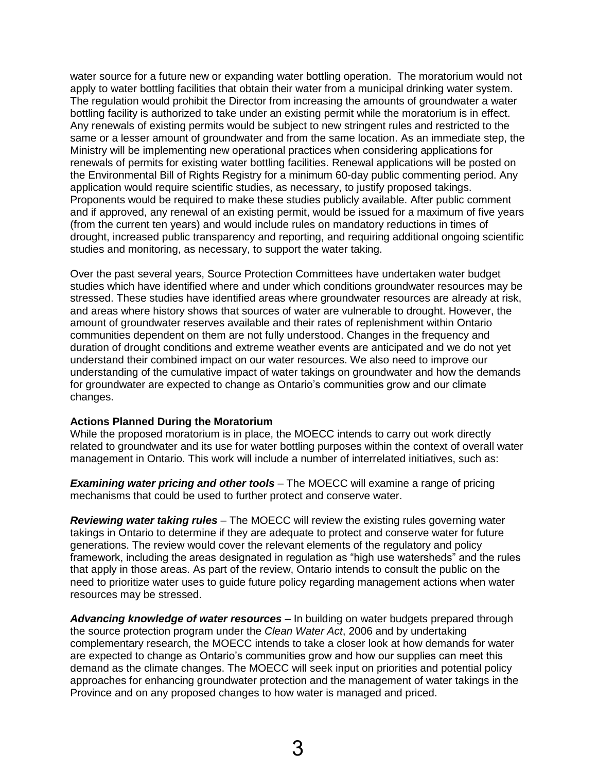water source for a future new or expanding water bottling operation. The moratorium would not apply to water bottling facilities that obtain their water from a municipal drinking water system. The regulation would prohibit the Director from increasing the amounts of groundwater a water bottling facility is authorized to take under an existing permit while the moratorium is in effect. Any renewals of existing permits would be subject to new stringent rules and restricted to the same or a lesser amount of groundwater and from the same location. As an immediate step, the Ministry will be implementing new operational practices when considering applications for renewals of permits for existing water bottling facilities. Renewal applications will be posted on the Environmental Bill of Rights Registry for a minimum 60-day public commenting period. Any application would require scientific studies, as necessary, to justify proposed takings. Proponents would be required to make these studies publicly available. After public comment and if approved, any renewal of an existing permit, would be issued for a maximum of five years (from the current ten years) and would include rules on mandatory reductions in times of drought, increased public transparency and reporting, and requiring additional ongoing scientific studies and monitoring, as necessary, to support the water taking.

Over the past several years, Source Protection Committees have undertaken water budget studies which have identified where and under which conditions groundwater resources may be stressed. These studies have identified areas where groundwater resources are already at risk, and areas where history shows that sources of water are vulnerable to drought. However, the amount of groundwater reserves available and their rates of replenishment within Ontario communities dependent on them are not fully understood. Changes in the frequency and duration of drought conditions and extreme weather events are anticipated and we do not yet understand their combined impact on our water resources. We also need to improve our understanding of the cumulative impact of water takings on groundwater and how the demands for groundwater are expected to change as Ontario's communities grow and our climate changes.

#### **Actions Planned During the Moratorium**

While the proposed moratorium is in place, the MOECC intends to carry out work directly related to groundwater and its use for water bottling purposes within the context of overall water management in Ontario. This work will include a number of interrelated initiatives, such as:

*Examining water pricing and other tools* – The MOECC will examine a range of pricing mechanisms that could be used to further protect and conserve water.

*Reviewing water taking rules* – The MOECC will review the existing rules governing water takings in Ontario to determine if they are adequate to protect and conserve water for future generations. The review would cover the relevant elements of the regulatory and policy framework, including the areas designated in regulation as "high use watersheds" and the rules that apply in those areas. As part of the review, Ontario intends to consult the public on the need to prioritize water uses to guide future policy regarding management actions when water resources may be stressed.

*Advancing knowledge of water resources* – In building on water budgets prepared through the source protection program under the *Clean Water Act*, 2006 and by undertaking complementary research, the MOECC intends to take a closer look at how demands for water are expected to change as Ontario's communities grow and how our supplies can meet this demand as the climate changes. The MOECC will seek input on priorities and potential policy approaches for enhancing groundwater protection and the management of water takings in the Province and on any proposed changes to how water is managed and priced.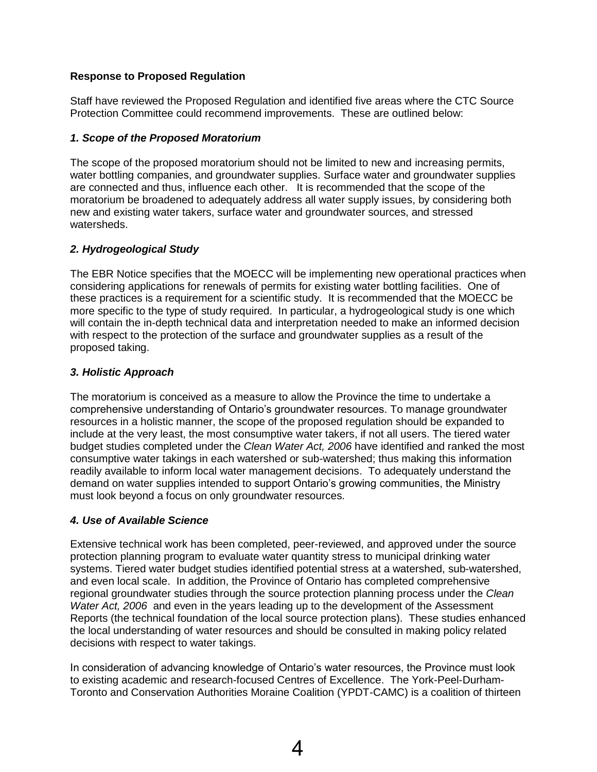# **Response to Proposed Regulation**

Staff have reviewed the Proposed Regulation and identified five areas where the CTC Source Protection Committee could recommend improvements. These are outlined below:

# *1. Scope of the Proposed Moratorium*

The scope of the proposed moratorium should not be limited to new and increasing permits, water bottling companies, and groundwater supplies. Surface water and groundwater supplies are connected and thus, influence each other. It is recommended that the scope of the moratorium be broadened to adequately address all water supply issues, by considering both new and existing water takers, surface water and groundwater sources, and stressed watersheds.

# *2. Hydrogeological Study*

The EBR Notice specifies that the MOECC will be implementing new operational practices when considering applications for renewals of permits for existing water bottling facilities. One of these practices is a requirement for a scientific study. It is recommended that the MOECC be more specific to the type of study required. In particular, a hydrogeological study is one which will contain the in-depth technical data and interpretation needed to make an informed decision with respect to the protection of the surface and groundwater supplies as a result of the proposed taking.

# *3. Holistic Approach*

The moratorium is conceived as a measure to allow the Province the time to undertake a comprehensive understanding of Ontario's groundwater resources. To manage groundwater resources in a holistic manner, the scope of the proposed regulation should be expanded to include at the very least, the most consumptive water takers, if not all users. The tiered water budget studies completed under the *Clean Water Act, 2006* have identified and ranked the most consumptive water takings in each watershed or sub-watershed; thus making this information readily available to inform local water management decisions. To adequately understand the demand on water supplies intended to support Ontario's growing communities, the Ministry must look beyond a focus on only groundwater resources.

# *4. Use of Available Science*

Extensive technical work has been completed, peer-reviewed, and approved under the source protection planning program to evaluate water quantity stress to municipal drinking water systems. Tiered water budget studies identified potential stress at a watershed, sub-watershed, and even local scale. In addition, the Province of Ontario has completed comprehensive regional groundwater studies through the source protection planning process under the *Clean Water Act, 2006* and even in the years leading up to the development of the Assessment Reports (the technical foundation of the local source protection plans). These studies enhanced the local understanding of water resources and should be consulted in making policy related decisions with respect to water takings.

In consideration of advancing knowledge of Ontario's water resources, the Province must look to existing academic and research-focused Centres of Excellence. The York-Peel-Durham-Toronto and Conservation Authorities Moraine Coalition (YPDT-CAMC) is a coalition of thirteen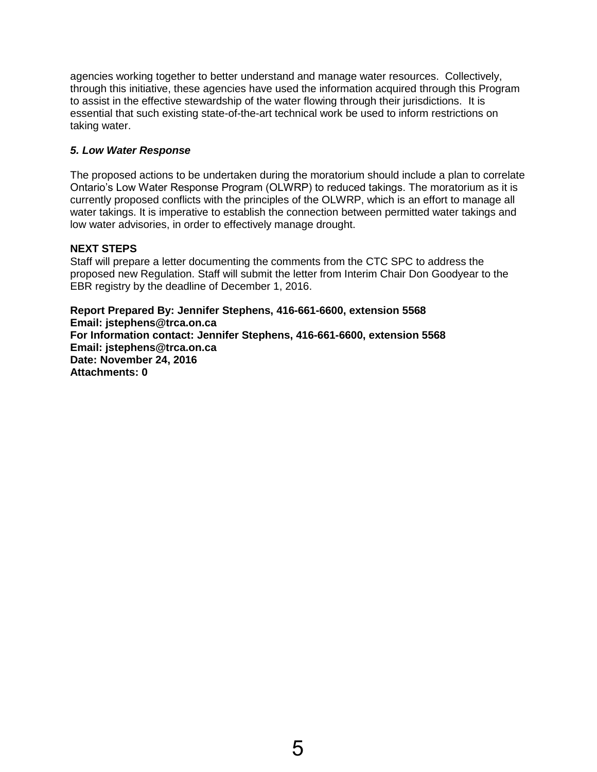agencies working together to better understand and manage water resources. Collectively, through this initiative, these agencies have used the information acquired through this Program to assist in the effective stewardship of the water flowing through their jurisdictions. It is essential that such existing state-of-the-art technical work be used to inform restrictions on taking water.

# *5. Low Water Response*

The proposed actions to be undertaken during the moratorium should include a plan to correlate Ontario's Low Water Response Program (OLWRP) to reduced takings. The moratorium as it is currently proposed conflicts with the principles of the OLWRP, which is an effort to manage all water takings. It is imperative to establish the connection between permitted water takings and low water advisories, in order to effectively manage drought.

# **NEXT STEPS**

Staff will prepare a letter documenting the comments from the CTC SPC to address the proposed new Regulation. Staff will submit the letter from Interim Chair Don Goodyear to the EBR registry by the deadline of December 1, 2016.

**Report Prepared By: Jennifer Stephens, 416-661-6600, extension 5568 Email: jstephens@trca.on.ca For Information contact: Jennifer Stephens, 416-661-6600, extension 5568 Email: jstephens@trca.on.ca Date: November 24, 2016 Attachments: 0**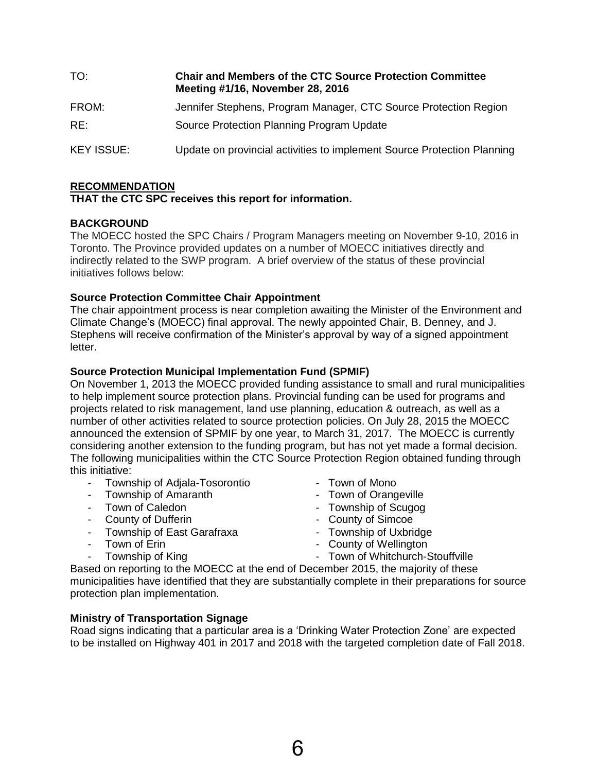| TO:               | <b>Chair and Members of the CTC Source Protection Committee</b><br>Meeting #1/16, November 28, 2016 |
|-------------------|-----------------------------------------------------------------------------------------------------|
| FROM:             | Jennifer Stephens, Program Manager, CTC Source Protection Region                                    |
| RE:               | Source Protection Planning Program Update                                                           |
| <b>KEY ISSUE:</b> | Update on provincial activities to implement Source Protection Planning                             |

# **RECOMMENDATION**

#### **THAT the CTC SPC receives this report for information.**

#### **BACKGROUND**

The MOECC hosted the SPC Chairs / Program Managers meeting on November 9-10, 2016 in Toronto. The Province provided updates on a number of MOECC initiatives directly and indirectly related to the SWP program. A brief overview of the status of these provincial initiatives follows below:

# **Source Protection Committee Chair Appointment**

The chair appointment process is near completion awaiting the Minister of the Environment and Climate Change's (MOECC) final approval. The newly appointed Chair, B. Denney, and J. Stephens will receive confirmation of the Minister's approval by way of a signed appointment letter.

#### **Source Protection Municipal Implementation Fund (SPMIF)**

On November 1, 2013 the MOECC provided funding assistance to small and rural municipalities to help implement source protection plans. Provincial funding can be used for programs and projects related to risk management, land use planning, education & outreach, as well as a number of other activities related to source protection policies. On July 28, 2015 the MOECC announced the extension of SPMIF by one year, to March 31, 2017. The MOECC is currently considering another extension to the funding program, but has not yet made a formal decision. The following municipalities within the CTC Source Protection Region obtained funding through this initiative:

- Township of Adjala-Tosorontio  **Town of Mono**
- Township of Amaranth Town of Orangeville
- 
- 
- Township of East Garafraxa Township of Uxbridge
- 
- 
- 
- 
- Town of Caledon  **Township of Scugog**
- County of Dufferin **County of Simcoe** 
	-
- Town of Erin **County of Wellington** 
	- Township of King  $\sim$  Town of Whitchurch-Stouffville

Based on reporting to the MOECC at the end of December 2015, the majority of these municipalities have identified that they are substantially complete in their preparations for source protection plan implementation.

#### **Ministry of Transportation Signage**

Road signs indicating that a particular area is a 'Drinking Water Protection Zone' are expected to be installed on Highway 401 in 2017 and 2018 with the targeted completion date of Fall 2018.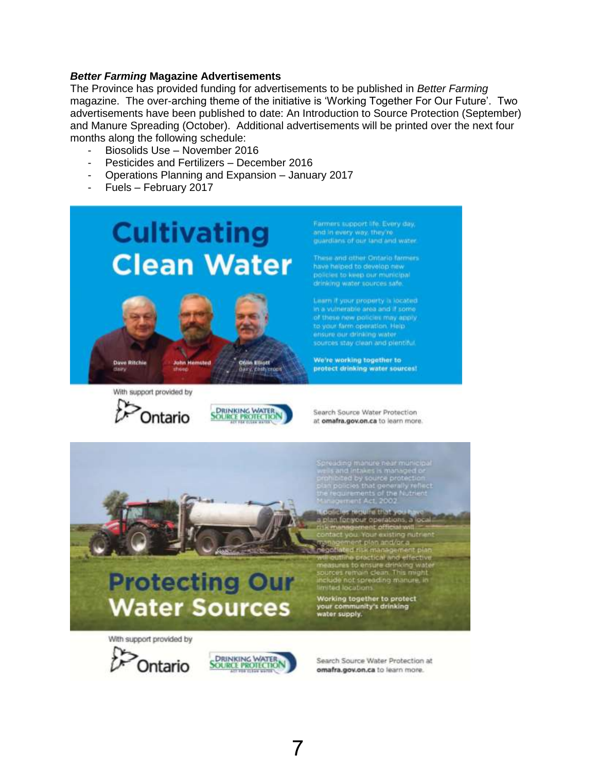#### *Better Farming* **Magazine Advertisements**

The Province has provided funding for advertisements to be published in *Better Farming* magazine. The over-arching theme of the initiative is 'Working Together For Our Future'. Two advertisements have been published to date: An Introduction to Source Protection (September) and Manure Spreading (October). Additional advertisements will be printed over the next four months along the following schedule:

- Biosolids Use November 2016
- Pesticides and Fertilizers December 2016
- Operations Planning and Expansion January 2017
- Fuels February 2017

# **Cultivating Clean Water**



**Protecting Our** 

**Water Sources** 

With support provided by





Farmers support life. Every day, and in every way, they're<br>guardians of our land and water

These and other Ontario farmers<br>have helped to develop new policies to keep our municipal drinking water sources safe.

of these new policies may apply ensure our drinking water sources stay clean and pientiful.

We're working together to protect drinking water sources!

Search Source Water Protection at omafra.gov.on.ca to learn more.

Working together to protect<br>your community's drinking<br>water supply.

With support provided by





7

Search Source Water Protection at omafra.gov.on.ca to learn more.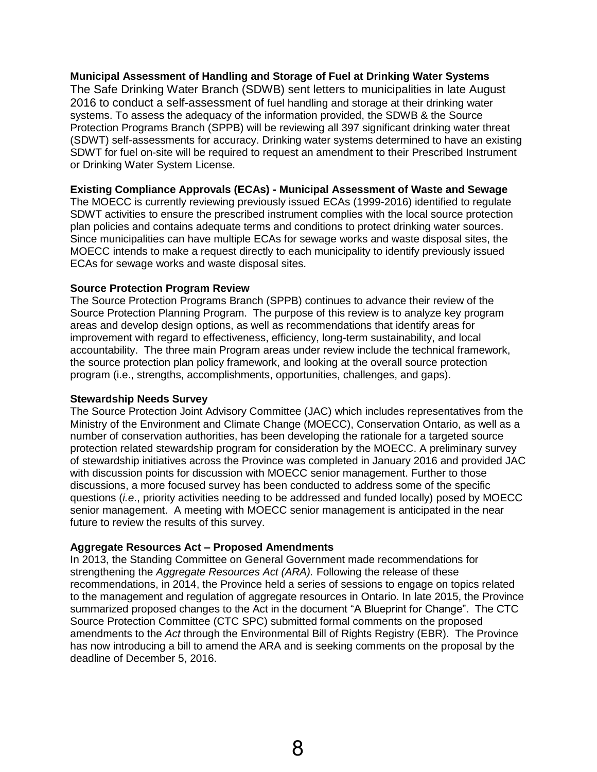#### **Municipal Assessment of Handling and Storage of Fuel at Drinking Water Systems**

The Safe Drinking Water Branch (SDWB) sent letters to municipalities in late August 2016 to conduct a self-assessment of fuel handling and storage at their drinking water systems. To assess the adequacy of the information provided, the SDWB & the Source Protection Programs Branch (SPPB) will be reviewing all 397 significant drinking water threat (SDWT) self-assessments for accuracy. Drinking water systems determined to have an existing SDWT for fuel on-site will be required to request an amendment to their Prescribed Instrument or Drinking Water System License.

#### **Existing Compliance Approvals (ECAs) - Municipal Assessment of Waste and Sewage**

The MOECC is currently reviewing previously issued ECAs (1999-2016) identified to regulate SDWT activities to ensure the prescribed instrument complies with the local source protection plan policies and contains adequate terms and conditions to protect drinking water sources. Since municipalities can have multiple ECAs for sewage works and waste disposal sites, the MOECC intends to make a request directly to each municipality to identify previously issued ECAs for sewage works and waste disposal sites.

#### **Source Protection Program Review**

The Source Protection Programs Branch (SPPB) continues to advance their review of the Source Protection Planning Program. The purpose of this review is to analyze key program areas and develop design options, as well as recommendations that identify areas for improvement with regard to effectiveness, efficiency, long-term sustainability, and local accountability. The three main Program areas under review include the technical framework, the source protection plan policy framework, and looking at the overall source protection program (i.e., strengths, accomplishments, opportunities, challenges, and gaps).

#### **Stewardship Needs Survey**

The Source Protection Joint Advisory Committee (JAC) which includes representatives from the Ministry of the Environment and Climate Change (MOECC), Conservation Ontario, as well as a number of conservation authorities, has been developing the rationale for a targeted source protection related stewardship program for consideration by the MOECC. A preliminary survey of stewardship initiatives across the Province was completed in January 2016 and provided JAC with discussion points for discussion with MOECC senior management. Further to those discussions, a more focused survey has been conducted to address some of the specific questions (*i.e*., priority activities needing to be addressed and funded locally) posed by MOECC senior management. A meeting with MOECC senior management is anticipated in the near future to review the results of this survey.

# **Aggregate Resources Act – Proposed Amendments**

In 2013, the Standing Committee on General Government made recommendations for strengthening the *Aggregate Resources Act (ARA).* Following the release of these recommendations, in 2014, the Province held a series of sessions to engage on topics related to the management and regulation of aggregate resources in Ontario. In late 2015, the Province summarized proposed changes to the Act in the document "A Blueprint for Change". The CTC Source Protection Committee (CTC SPC) submitted formal comments on the proposed amendments to the *Act* through the Environmental Bill of Rights Registry (EBR). The Province has now introducing a bill to amend the ARA and is seeking comments on the proposal by the deadline of December 5, 2016.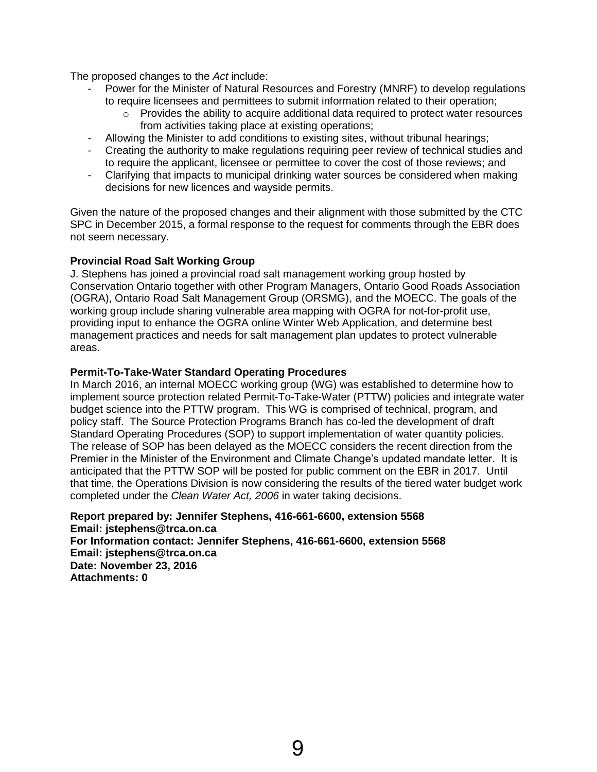The proposed changes to the *Act* include:

- Power for the Minister of Natural Resources and Forestry (MNRF) to develop regulations to require licensees and permittees to submit information related to their operation;
	- $\circ$  Provides the ability to acquire additional data required to protect water resources from activities taking place at existing operations;
- Allowing the Minister to add conditions to existing sites, without tribunal hearings;
- Creating the authority to make regulations requiring peer review of technical studies and to require the applicant, licensee or permittee to cover the cost of those reviews; and
- Clarifying that impacts to municipal drinking water sources be considered when making decisions for new licences and wayside permits.

Given the nature of the proposed changes and their alignment with those submitted by the CTC SPC in December 2015, a formal response to the request for comments through the EBR does not seem necessary.

# **Provincial Road Salt Working Group**

J. Stephens has joined a provincial road salt management working group hosted by Conservation Ontario together with other Program Managers, Ontario Good Roads Association (OGRA), Ontario Road Salt Management Group (ORSMG), and the MOECC. The goals of the working group include sharing vulnerable area mapping with OGRA for not-for-profit use, providing input to enhance the OGRA online Winter Web Application, and determine best management practices and needs for salt management plan updates to protect vulnerable areas.

# **Permit-To-Take-Water Standard Operating Procedures**

In March 2016, an internal MOECC working group (WG) was established to determine how to implement source protection related Permit-To-Take-Water (PTTW) policies and integrate water budget science into the PTTW program. This WG is comprised of technical, program, and policy staff. The Source Protection Programs Branch has co-led the development of draft Standard Operating Procedures (SOP) to support implementation of water quantity policies. The release of SOP has been delayed as the MOECC considers the recent direction from the Premier in the Minister of the Environment and Climate Change's updated mandate letter. It is anticipated that the PTTW SOP will be posted for public comment on the EBR in 2017. Until that time, the Operations Division is now considering the results of the tiered water budget work completed under the *Clean Water Act, 2006* in water taking decisions.

**Report prepared by: Jennifer Stephens, 416-661-6600, extension 5568 Email: jstephens@trca.on.ca For Information contact: Jennifer Stephens, 416-661-6600, extension 5568 Email: jstephens@trca.on.ca Date: November 23, 2016 Attachments: 0**